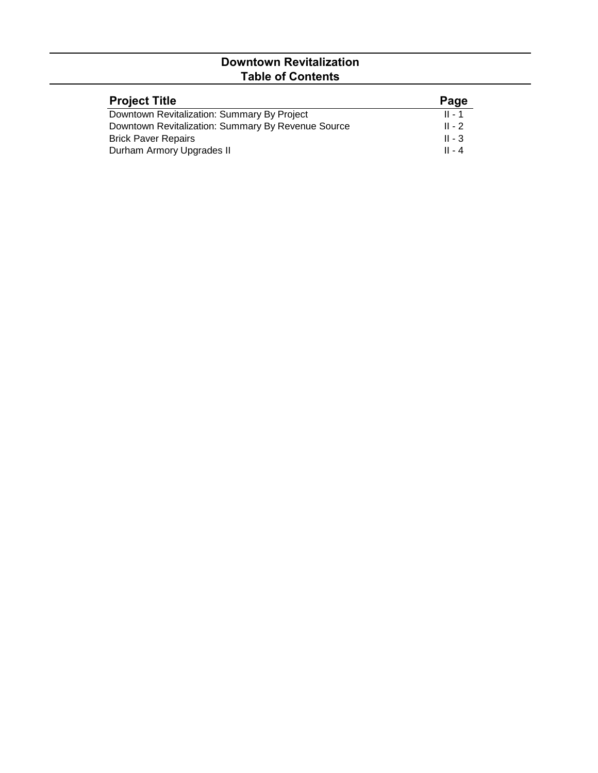## **Downtown Revitalization Table of Contents**

| <b>Project Title</b>                               | Page     |
|----------------------------------------------------|----------|
| Downtown Revitalization: Summary By Project        | $II - 1$ |
| Downtown Revitalization: Summary By Revenue Source | $II - 2$ |
| <b>Brick Paver Repairs</b>                         | $II - 3$ |
| Durham Armory Upgrades II                          | $II - 4$ |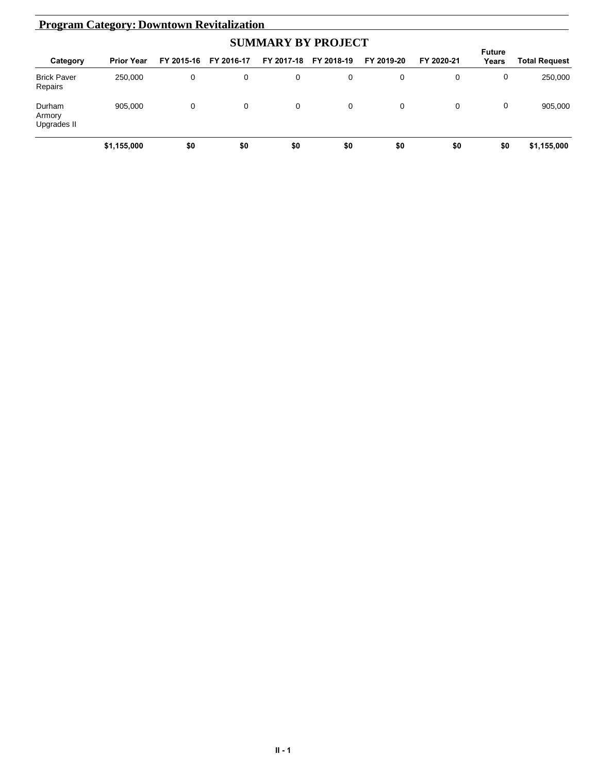| <b>Program Category: Downtown Revitalization</b> |                           |            |            |            |            |            |            |                 |               |  |
|--------------------------------------------------|---------------------------|------------|------------|------------|------------|------------|------------|-----------------|---------------|--|
|                                                  | <b>SUMMARY BY PROJECT</b> |            |            |            |            |            |            |                 |               |  |
| Category                                         | <b>Prior Year</b>         | FY 2015-16 | FY 2016-17 | FY 2017-18 | FY 2018-19 | FY 2019-20 | FY 2020-21 | Future<br>Years | Total Request |  |
| <b>Brick Paver</b><br>Repairs                    | 250,000                   | 0          | 0          | 0          | 0          | 0          | 0          | 0               | 250,000       |  |
| Durham<br>Armory<br>Upgrades II                  | 905.000                   | 0          | 0          | 0          | 0          | 0          | 0          | 0               | 905,000       |  |
|                                                  | \$1,155,000               | \$0        | \$0        | \$0        | \$0        | \$0        | \$0        | \$0             | \$1,155,000   |  |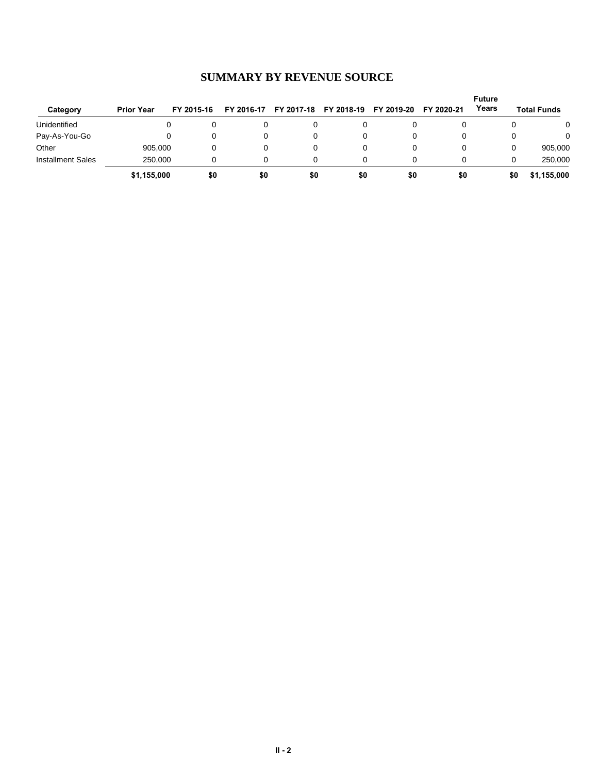| Category                 | <b>Prior Year</b> | FY 2015-16 | FY 2016-17 | FY 2017-18 | FY 2018-19 | FY 2019-20 | FY 2020-21 | <b>Future</b><br>Years | <b>Total Funds</b> |
|--------------------------|-------------------|------------|------------|------------|------------|------------|------------|------------------------|--------------------|
| Unidentified             |                   |            |            |            |            |            |            |                        | 0                  |
| Pay-As-You-Go            |                   | 0          | 0          |            |            |            |            |                        | $\Omega$           |
| Other                    | 905.000           |            | 0          |            |            |            |            | 0                      | 905,000            |
| <b>Installment Sales</b> | 250.000           |            |            |            |            |            |            | 0                      | 250.000            |
|                          | \$1,155,000       | \$0        | \$0        | \$0        | \$0        | \$0        | \$0        | \$0                    | \$1,155,000        |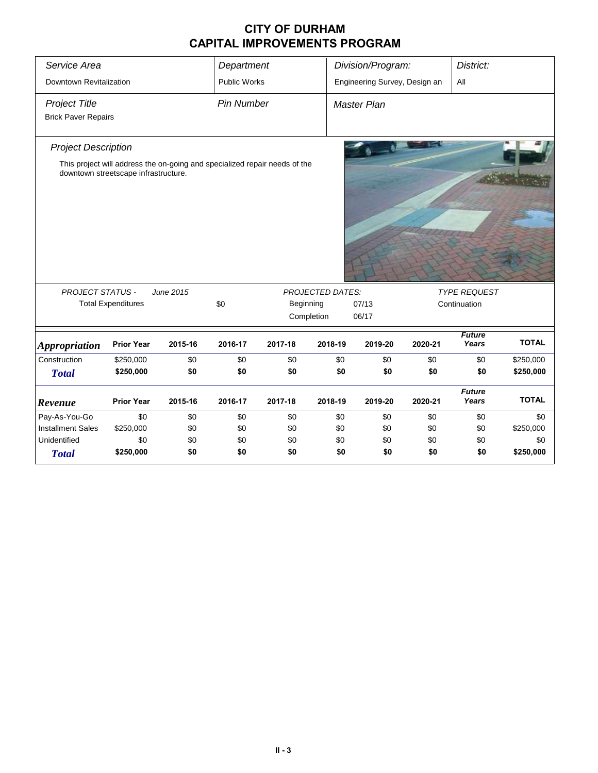## **CITY OF DURHAM CAPITAL IMPROVEMENTS PROGRAM**

| Service Area                                       |                                                                                                                    |           | Department        |            |                         | Division/Program:             |         | District:              |              |  |  |
|----------------------------------------------------|--------------------------------------------------------------------------------------------------------------------|-----------|-------------------|------------|-------------------------|-------------------------------|---------|------------------------|--------------|--|--|
| Downtown Revitalization                            |                                                                                                                    |           | Public Works      |            |                         | Engineering Survey, Design an |         |                        |              |  |  |
| <b>Project Title</b><br><b>Brick Paver Repairs</b> |                                                                                                                    |           | <b>Pin Number</b> |            |                         | Master Plan                   |         |                        |              |  |  |
| <b>Project Description</b>                         | This project will address the on-going and specialized repair needs of the<br>downtown streetscape infrastructure. |           |                   |            |                         |                               |         |                        |              |  |  |
| <b>PROJECT STATUS -</b>                            |                                                                                                                    | June 2015 |                   |            | <b>PROJECTED DATES:</b> |                               |         | <b>TYPE REQUEST</b>    |              |  |  |
|                                                    | <b>Total Expenditures</b>                                                                                          |           | \$0               |            | Beginning               | 07/13                         |         | Continuation           |              |  |  |
|                                                    |                                                                                                                    |           |                   | Completion | 06/17                   |                               |         |                        |              |  |  |
| <b>Appropriation</b>                               | <b>Prior Year</b>                                                                                                  | 2015-16   | 2016-17           | 2017-18    | 2018-19                 | 2019-20                       | 2020-21 | <b>Future</b><br>Years | <b>TOTAL</b> |  |  |
| Construction                                       | \$250,000                                                                                                          | \$0       | \$0               | \$0        | \$0                     | \$0                           | \$0     | \$0                    | \$250,000    |  |  |
| <b>Total</b>                                       | \$250,000                                                                                                          | \$0       | \$0               | \$0        | \$0                     | \$0                           | \$0     | \$0                    | \$250,000    |  |  |
|                                                    |                                                                                                                    |           |                   |            |                         |                               |         | <b>Future</b>          |              |  |  |
| Revenue                                            | <b>Prior Year</b>                                                                                                  | 2015-16   | 2016-17           | 2017-18    | 2018-19                 | 2019-20                       | 2020-21 | Years                  | <b>TOTAL</b> |  |  |
| Pay-As-You-Go                                      | \$0                                                                                                                | \$0       | \$0               | \$0        | \$0                     | \$0                           | \$0     | \$0                    | \$0          |  |  |
| <b>Installment Sales</b>                           | \$250,000                                                                                                          | \$0       | \$0               | \$0        | \$0                     | \$0                           | \$0     | \$0                    | \$250,000    |  |  |
| Unidentified                                       | \$0                                                                                                                | \$0       | \$0               | \$0        | \$0                     | \$0                           | \$0     | \$0                    | \$0          |  |  |
| <b>Total</b>                                       | \$250,000                                                                                                          | \$0       | \$0               | \$0        | \$0                     | \$0                           | \$0     | \$0                    | \$250,000    |  |  |